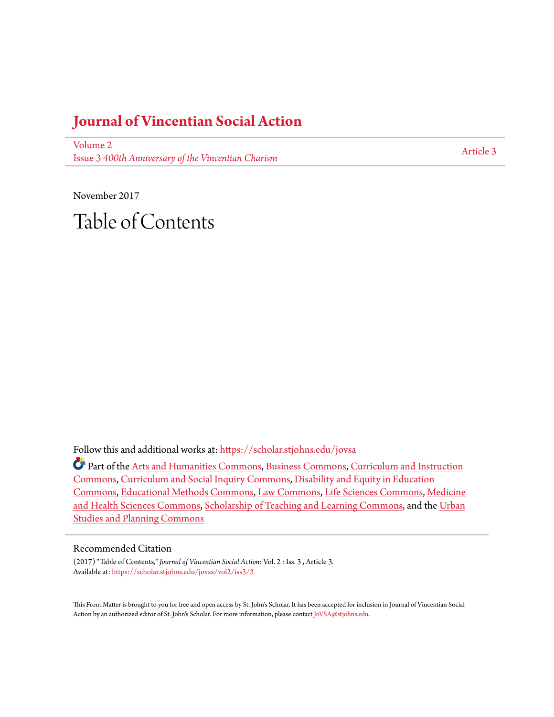#### **[Journal of Vincentian Social Action](https://scholar.stjohns.edu/jovsa?utm_source=scholar.stjohns.edu%2Fjovsa%2Fvol2%2Fiss3%2F3&utm_medium=PDF&utm_campaign=PDFCoverPages)**

[Volume 2](https://scholar.stjohns.edu/jovsa/vol2?utm_source=scholar.stjohns.edu%2Fjovsa%2Fvol2%2Fiss3%2F3&utm_medium=PDF&utm_campaign=PDFCoverPages) Issue 3 *[400th Anniversary of the Vincentian Charism](https://scholar.stjohns.edu/jovsa/vol2/iss3?utm_source=scholar.stjohns.edu%2Fjovsa%2Fvol2%2Fiss3%2F3&utm_medium=PDF&utm_campaign=PDFCoverPages)*

[Article 3](https://scholar.stjohns.edu/jovsa/vol2/iss3/3?utm_source=scholar.stjohns.edu%2Fjovsa%2Fvol2%2Fiss3%2F3&utm_medium=PDF&utm_campaign=PDFCoverPages)

November 2017 Table of Contents

Follow this and additional works at: [https://scholar.stjohns.edu/jovsa](https://scholar.stjohns.edu/jovsa?utm_source=scholar.stjohns.edu%2Fjovsa%2Fvol2%2Fiss3%2F3&utm_medium=PDF&utm_campaign=PDFCoverPages)

Part of the [Arts and Humanities Commons](http://network.bepress.com/hgg/discipline/438?utm_source=scholar.stjohns.edu%2Fjovsa%2Fvol2%2Fiss3%2F3&utm_medium=PDF&utm_campaign=PDFCoverPages), [Business Commons,](http://network.bepress.com/hgg/discipline/622?utm_source=scholar.stjohns.edu%2Fjovsa%2Fvol2%2Fiss3%2F3&utm_medium=PDF&utm_campaign=PDFCoverPages) [Curriculum and Instruction](http://network.bepress.com/hgg/discipline/786?utm_source=scholar.stjohns.edu%2Fjovsa%2Fvol2%2Fiss3%2F3&utm_medium=PDF&utm_campaign=PDFCoverPages) [Commons,](http://network.bepress.com/hgg/discipline/786?utm_source=scholar.stjohns.edu%2Fjovsa%2Fvol2%2Fiss3%2F3&utm_medium=PDF&utm_campaign=PDFCoverPages) [Curriculum and Social Inquiry Commons,](http://network.bepress.com/hgg/discipline/1038?utm_source=scholar.stjohns.edu%2Fjovsa%2Fvol2%2Fiss3%2F3&utm_medium=PDF&utm_campaign=PDFCoverPages) [Disability and Equity in Education](http://network.bepress.com/hgg/discipline/1040?utm_source=scholar.stjohns.edu%2Fjovsa%2Fvol2%2Fiss3%2F3&utm_medium=PDF&utm_campaign=PDFCoverPages) [Commons,](http://network.bepress.com/hgg/discipline/1040?utm_source=scholar.stjohns.edu%2Fjovsa%2Fvol2%2Fiss3%2F3&utm_medium=PDF&utm_campaign=PDFCoverPages) [Educational Methods Commons](http://network.bepress.com/hgg/discipline/1227?utm_source=scholar.stjohns.edu%2Fjovsa%2Fvol2%2Fiss3%2F3&utm_medium=PDF&utm_campaign=PDFCoverPages), [Law Commons](http://network.bepress.com/hgg/discipline/578?utm_source=scholar.stjohns.edu%2Fjovsa%2Fvol2%2Fiss3%2F3&utm_medium=PDF&utm_campaign=PDFCoverPages), [Life Sciences Commons,](http://network.bepress.com/hgg/discipline/1016?utm_source=scholar.stjohns.edu%2Fjovsa%2Fvol2%2Fiss3%2F3&utm_medium=PDF&utm_campaign=PDFCoverPages) [Medicine](http://network.bepress.com/hgg/discipline/648?utm_source=scholar.stjohns.edu%2Fjovsa%2Fvol2%2Fiss3%2F3&utm_medium=PDF&utm_campaign=PDFCoverPages) [and Health Sciences Commons,](http://network.bepress.com/hgg/discipline/648?utm_source=scholar.stjohns.edu%2Fjovsa%2Fvol2%2Fiss3%2F3&utm_medium=PDF&utm_campaign=PDFCoverPages) [Scholarship of Teaching and Learning Commons](http://network.bepress.com/hgg/discipline/1328?utm_source=scholar.stjohns.edu%2Fjovsa%2Fvol2%2Fiss3%2F3&utm_medium=PDF&utm_campaign=PDFCoverPages), and the [Urban](http://network.bepress.com/hgg/discipline/436?utm_source=scholar.stjohns.edu%2Fjovsa%2Fvol2%2Fiss3%2F3&utm_medium=PDF&utm_campaign=PDFCoverPages) [Studies and Planning Commons](http://network.bepress.com/hgg/discipline/436?utm_source=scholar.stjohns.edu%2Fjovsa%2Fvol2%2Fiss3%2F3&utm_medium=PDF&utm_campaign=PDFCoverPages)

#### Recommended Citation

(2017) "Table of Contents," *Journal of Vincentian Social Action*: Vol. 2 : Iss. 3 , Article 3. Available at: [https://scholar.stjohns.edu/jovsa/vol2/iss3/3](https://scholar.stjohns.edu/jovsa/vol2/iss3/3?utm_source=scholar.stjohns.edu%2Fjovsa%2Fvol2%2Fiss3%2F3&utm_medium=PDF&utm_campaign=PDFCoverPages)

This Front Matter is brought to you for free and open access by St. John's Scholar. It has been accepted for inclusion in Journal of Vincentian Social Action by an authorized editor of St. John's Scholar. For more information, please contact [JoVSA@stjohns.edu](mailto:JoVSA@stjohns.edu).